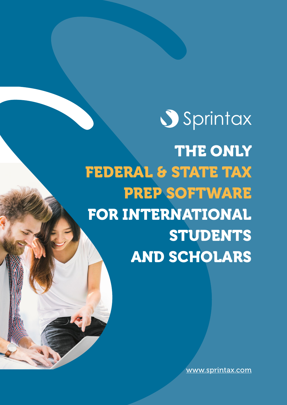# Sprintax

THE ONLY FEDERAL & STATE TAX PREP SOFTWARE FOR INTERNATIONAL **STUDENTS** AND SCHOLARS

[www.sprintax.com](https://www.sprintax.com/uni-lp.html?utm_ref=medcornelllp)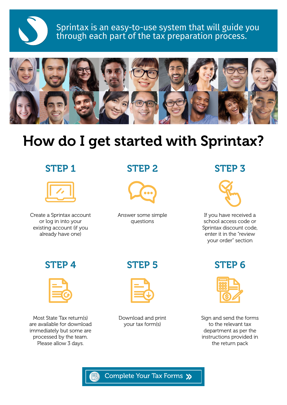

Sprintax is an easy-to-use system that will guide you through each part of the tax preparation process.



# How do I get started with Sprintax?

## STEP 1



Create a Sprintax account or log in into your existing account (if you already have one)

# STEP 2



Answer some simple questions

# STEP 3



If you have received a school access code or Sprintax discount code, enter it in the "review your order" section



Most State Tax return(s) are available for download immediately but some are processed by the team. Please allow 3 days.

# STEP 4 STEP 5 STEP 6



Download and print your tax form(s)



Sign and send the forms to the relevant tax department as per the instructions provided in the return pack